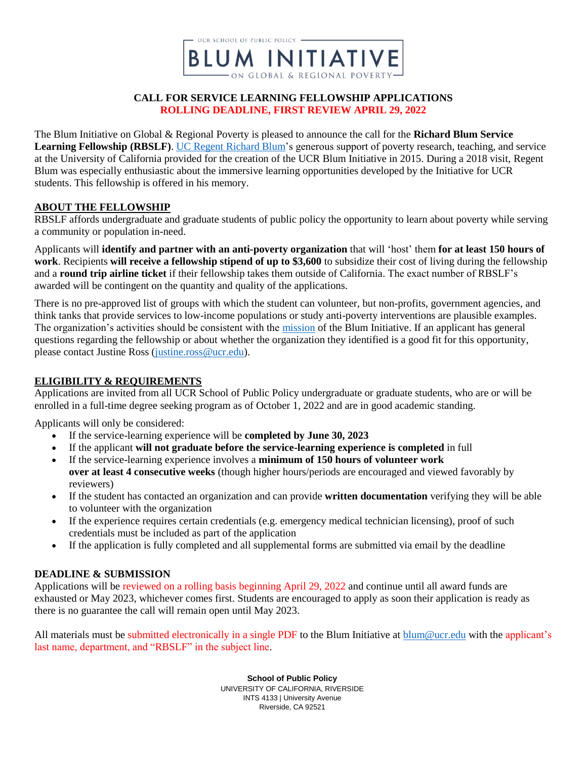

#### **CALL FOR SERVICE LEARNING FELLOWSHIP APPLICATIONS ROLLING DEADLINE, FIRST REVIEW APRIL 29, 2022**

The Blum Initiative on Global & Regional Poverty is pleased to announce the call for the **Richard Blum Service Learning Fellowship (RBSLF)**. [UC Regent Richard Blum'](https://regents.universityofcalifornia.edu/about/members-and-advisors/bios/richard-blum.html)s generous support of poverty research, teaching, and service at the University of California provided for the creation of the UCR Blum Initiative in 2015. During a 2018 visit, Regent Blum was especially enthusiastic about the immersive learning opportunities developed by the Initiative for UCR students. This fellowship is offered in his memory.

#### **ABOUT THE FELLOWSHIP**

RBSLF affords undergraduate and graduate students of public policy the opportunity to learn about poverty while serving a community or population in-need.

Applicants will **identify and partner with an anti-poverty organization** that will 'host' them **for at least 150 hours of work**. Recipients **will receive a fellowship stipend of up to \$3,600** to subsidize their cost of living during the fellowship and a **round trip airline ticket** if their fellowship takes them outside of California. The exact number of RBSLF's awarded will be contingent on the quantity and quality of the applications.

There is no pre-approved list of groups with which the student can volunteer, but non-profits, government agencies, and think tanks that provide services to low-income populations or study anti-poverty interventions are plausible examples. The organization's activities should be consistent with the [mission](https://blum.ucr.edu/about/mission) of the Blum Initiative. If an applicant has general questions regarding the fellowship or about whether the organization they identified is a good fit for this opportunity, please contact Justine Ross [\(justine.ross@ucr.edu\)](mailto:justine.ross@ucr.edu).

# **ELIGIBILITY & REQUIREMENTS**

Applications are invited from all UCR School of Public Policy undergraduate or graduate students, who are or will be enrolled in a full-time degree seeking program as of October 1, 2022 and are in good academic standing.

Applicants will only be considered:

- If the service-learning experience will be **completed by June 30, 2023**
- If the applicant **will not graduate before the service-learning experience is completed** in full
- If the service-learning experience involves a **minimum of 150 hours of volunteer work over at least 4 consecutive weeks** (though higher hours/periods are encouraged and viewed favorably by reviewers)
- If the student has contacted an organization and can provide **written documentation** verifying they will be able to volunteer with the organization
- If the experience requires certain credentials (e.g. emergency medical technician licensing), proof of such credentials must be included as part of the application
- If the application is fully completed and all supplemental forms are submitted via email by the deadline

# **DEADLINE & SUBMISSION**

Applications will be reviewed on a rolling basis beginning April 29, 2022 and continue until all award funds are exhausted or May 2023, whichever comes first. Students are encouraged to apply as soon their application is ready as there is no guarantee the call will remain open until May 2023.

All materials must be submitted electronically in a single PDF to the Blum Initiative at [blum@ucr.edu](mailto:blum@ucr.edu) with the applicant's last name, department, and "RBSLF" in the subject line.

> **School of Public Policy** UNIVERSITY OF CALIFORNIA, RIVERSIDE INTS 4133 | University Avenue Riverside, CA 92521